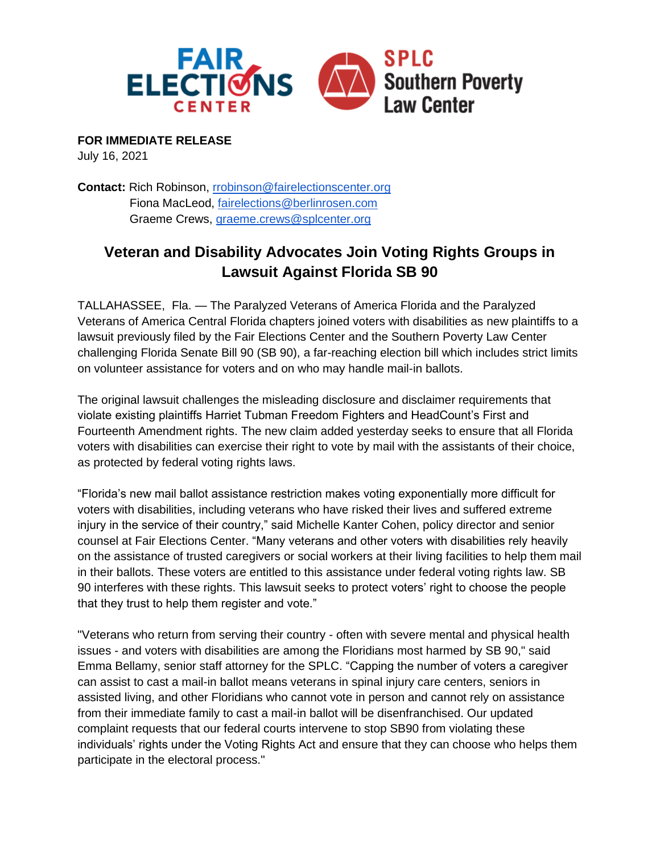

**FOR IMMEDIATE RELEASE**

July 16, 2021

**Contact:** Rich Robinson, [rrobinson@fairelectionscenter.org](mailto:rrobinson@fairelections.org) Fiona MacLeod, [fairelections@berlinrosen.com](mailto:fairelections@berlinrosen.com) Graeme Crews, [graeme.crews@splcenter.org](mailto:graeme.crews@splcenter.org)

## **Veteran and Disability Advocates Join Voting Rights Groups in Lawsuit Against Florida SB 90**

TALLAHASSEE, Fla. — The Paralyzed Veterans of America Florida and the Paralyzed Veterans of America Central Florida chapters joined voters with disabilities as new plaintiffs to a lawsuit previously filed by the Fair Elections Center and the Southern Poverty Law Center challenging Florida Senate Bill 90 (SB 90), a far-reaching election bill which includes strict limits on volunteer assistance for voters and on who may handle mail-in ballots.

The original lawsuit challenges the misleading disclosure and disclaimer requirements that violate existing plaintiffs Harriet Tubman Freedom Fighters and HeadCount's First and Fourteenth Amendment rights. The new claim added yesterday seeks to ensure that all Florida voters with disabilities can exercise their right to vote by mail with the assistants of their choice, as protected by federal voting rights laws.

"Florida's new mail ballot assistance restriction makes voting exponentially more difficult for voters with disabilities, including veterans who have risked their lives and suffered extreme injury in the service of their country," said Michelle Kanter Cohen, policy director and senior counsel at Fair Elections Center. "Many veterans and other voters with disabilities rely heavily on the assistance of trusted caregivers or social workers at their living facilities to help them mail in their ballots. These voters are entitled to this assistance under federal voting rights law. SB 90 interferes with these rights. This lawsuit seeks to protect voters' right to choose the people that they trust to help them register and vote."

"Veterans who return from serving their country - often with severe mental and physical health issues - and voters with disabilities are among the Floridians most harmed by SB 90," said Emma Bellamy, senior staff attorney for the SPLC. "Capping the number of voters a caregiver can assist to cast a mail-in ballot means veterans in spinal injury care centers, seniors in assisted living, and other Floridians who cannot vote in person and cannot rely on assistance from their immediate family to cast a mail-in ballot will be disenfranchised. Our updated complaint requests that our federal courts intervene to stop SB90 from violating these individuals' rights under the Voting Rights Act and ensure that they can choose who helps them participate in the electoral process."